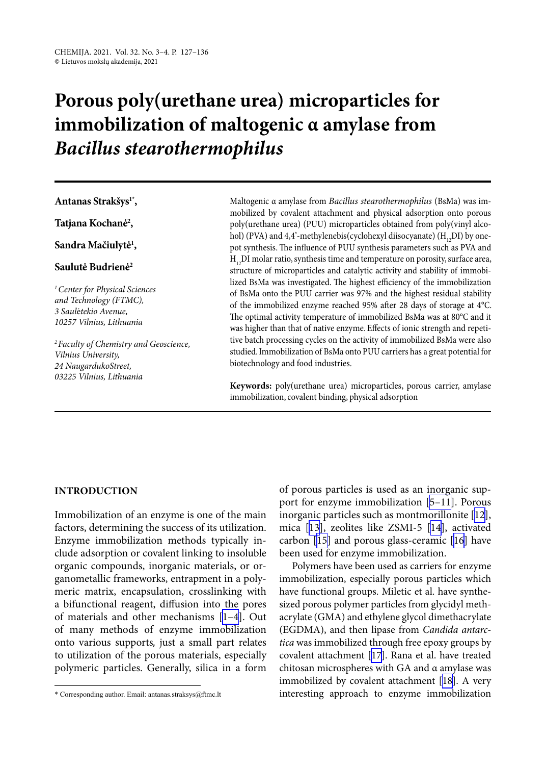# **Porous poly(urethane urea) microparticles for immobilization of maltogenic α amylase from**  *Bacillus stearothermophilus*

**Antanas Strakšys1\*,**

**Tatjana Kochanė2 ,**

**Sandra Mačiulytė1 ,**

#### **Saulutė Budrienė2**

*1Center for Physical Sciences and Technology (FTMC), 3 Saul*ė*tekio Avenue, 10257 Vilnius, Lithuania*

*2Faculty of Chemistry and Geoscience, Vilnius University, 24 NaugardukoStreet, 03225 Vilnius, Lithuania*

Maltogenic α amylase from *Bacillus stearothermophilus* (BsMa) was immobilized by covalent attachment and physical adsorption onto porous poly(urethane urea) (PUU) microparticles obtained from poly(vinyl alcohol) (PVA) and 4,4'-methylenebis(cyclohexyl diisocyanate) ( $H_{1,2}$ DI) by onepot synthesis. The influence of PUU synthesis parameters such as PVA and  $H_{12}$ DI molar ratio, synthesis time and temperature on porosity, surface area, structure of microparticles and catalytic activity and stability of immobilized BsMa was investigated. The highest efficiency of the immobilization of BsMa onto the PUU carrier was 97% and the highest residual stability of the immobilized enzyme reached 95% after 28 days of storage at 4°C. The optimal activity temperature of immobilized BsMa was at 80°C and it was higher than that of native enzyme. Effects of ionic strength and repetitive batch processing cycles on the activity of immobilized BsMa were also studied. Immobilization of BsMa onto PUU carriers has a great potential for biotechnology and food industries.

**Keywords:** poly(urethane urea) microparticles, porous carrier, amylase immobilization, covalent binding, physical adsorption

#### **INTRODUCTION**

Immobilization of an enzyme is one of the main factors, determining the success of its utilization. Enzyme immobilization methods typically include adsorption or covalent linking to insoluble organic compounds, inorganic materials, or organometallic frameworks, entrapment in a polymeric matrix, encapsulation, crosslinking with a bifunctional reagent, diffusion into the pores of materials and other mechanisms [[1–4](#page-8-0)]. Out of many methods of enzyme immobilization onto various supports, just a small part relates to utilization of the porous materials, especially polymeric particles. Generally, silica in a form of porous particles is used as an inorganic support for enzyme immobilization [\[5–11\]](#page-8-1). Porous inorganic particles such as montmorillonite [[12](#page-8-2)], mica [[13](#page-8-3)], zeolites like ZSMI-5 [\[14\]](#page-8-4), activated carbon [\[15\]](#page-8-5) and porous glass-ceramic [[16](#page-8-6)] have been used for enzyme immobilization.

Polymers have been used as carriers for enzyme immobilization, especially porous particles which have functional groups. Miletic et al. have synthesized porous polymer particles from glycidyl methacrylate (GMA) and ethylene glycol dimethacrylate (EGDMA), and then lipase from *Candida antarctica* was immobilized through free epoxy groups by covalent attachment [\[17](#page-8-7)]. Rana et al. have treated chitosan microspheres with GA and α amylase was immobilized by covalent attachment [\[18](#page-8-8)]. A very interesting approach to enzyme immobilization

<sup>\*</sup> Corresponding author. Email: antanas.straksys@ftmc.lt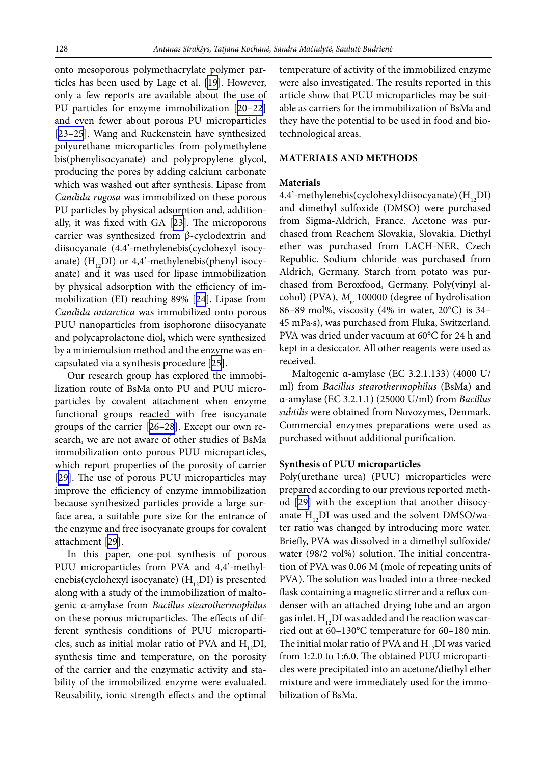onto mesoporous polymethacrylate polymer particles has been used by Lage et al. [\[19](#page-8-9)]. However, only a few reports are available about the use of PU particles for enzyme immobilization [[20–22\]](#page-8-10) and even fewer about porous PU microparticles [[23–25](#page-8-11)]. Wang and Ruckenstein have synthesized polyurethane microparticles from polymethylene bis(phenylisocyanate) and polypropylene glycol, producing the pores by adding calcium carbonate which was washed out after synthesis. Lipase from *Candida rugosa* was immobilized on these porous PU particles by physical adsorption and, additionally, it was fixed with GA [\[23](#page-8-12)]. The microporous carrier was synthesized from β-cyclodextrin and diisocyanate (4.4'-methylenebis(cyclohexyl isocyanate) ( $H_{12}DI$ ) or 4,4'-methylenebis(phenyl isocyanate) and it was used for lipase immobilization by physical adsorption with the efficiency of immobilization (EI) reaching 89% [\[24](#page-8-13)]. Lipase from *Candida antarctica* was immobilized onto porous PUU nanoparticles from isophorone diisocyanate and polycaprolactone diol, which were synthesized by a miniemulsion method and the enzyme was encapsulated via a synthesis procedure [\[25](#page-8-14)].

Our research group has explored the immobilization route of BsMa onto PU and PUU microparticles by covalent attachment when enzyme functional groups reacted with free isocyanate groups of the carrier [[26–28](#page-8-15)]. Except our own research, we are not aware of other studies of BsMa immobilization onto porous PUU microparticles, which report properties of the porosity of carrier [[29](#page-8-16)]. The use of porous PUU microparticles may improve the efficiency of enzyme immobilization because synthesized particles provide a large surface area, a suitable pore size for the entrance of the enzyme and free isocyanate groups for covalent attachment [\[29](#page-8-16)].

In this paper, one-pot synthesis of porous PUU microparticles from PVA and 4,4'-methylenebis(cyclohexyl isocyanate)  $(H, DI)$  is presented along with a study of the immobilization of maltogenic α-amylase from *Bacillus stearothermophilus* on these porous microparticles. The effects of different synthesis conditions of PUU microparticles, such as initial molar ratio of PVA and  $H_{12}DI$ , synthesis time and temperature, on the porosity of the carrier and the enzymatic activity and stability of the immobilized enzyme were evaluated. Reusability, ionic strength effects and the optimal temperature of activity of the immobilized enzyme were also investigated. The results reported in this article show that PUU microparticles may be suitable as carriers for the immobilization of BsMa and they have the potential to be used in food and biotechnological areas.

### **MATERIALS AND METHODS**

#### **Materials**

4.4'-methylenebis(cyclohexyl diisocyanate)  $(H_{12}DI)$ and dimethyl sulfoxide (DMSO) were purchased from Sigma-Aldrich, France. Acetone was purchased from Reachem Slovakia, Slovakia. Diethyl ether was purchased from LACH-NER, Czech Republic. Sodium chloride was purchased from Aldrich, Germany. Starch from potato was purchased from Beroxfood, Germany. Poly(vinyl alcohol) (PVA),  $M_{w}$  100000 (degree of hydrolisation 86–89 mol%, viscosity (4% in water, 20°C) is 34– 45 mPa·s), was purchased from Fluka, Switzerland. PVA was dried under vacuum at 60°C for 24 h and kept in a desiccator. All other reagents were used as received.

Maltogenic α-amylase (EC 3.2.1.133) (4000 U/ ml) from *Bacillus stearothermophilus* (BsMa) and α-amylase (EC 3.2.1.1) (25000 U/ml) from *Bacillus subtilis* were obtained from Novozymes, Denmark. Commercial enzymes preparations were used as purchased without additional purification.

#### **Synthesis of PUU microparticles**

Poly(urethane urea) (PUU) microparticles were prepared according to our previous reported method [[29\]](#page-8-16) with the exception that another diisocyanate  $H_{12}DI$  was used and the solvent DMSO/water ratio was changed by introducing more water. Briefly, PVA was dissolved in a dimethyl sulfoxide/ water (98/2 vol%) solution. The initial concentration of PVA was 0.06 M (mole of repeating units of PVA). The solution was loaded into a three-necked flask containing a magnetic stirrer and a reflux condenser with an attached drying tube and an argon gas inlet.  $H_{12}DI$  was added and the reaction was carried out at 60–130°C temperature for 60–180 min. The initial molar ratio of PVA and  $H_{12}$ DI was varied from 1:2.0 to 1:6.0. The obtained PUU microparticles were precipitated into an acetone/diethyl ether mixture and were immediately used for the immobilization of BsMa.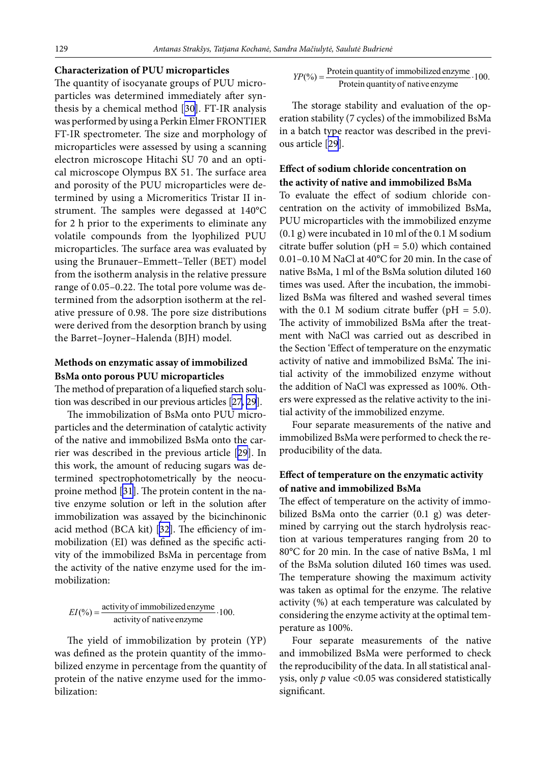#### **Characterization of PUU microparticles**

The quantity of isocyanate groups of PUU microparticles was determined immediately after synthesis by a chemical method [[30](#page-8-17)]. FT-IR analysis was performed by using a Perkin Elmer FRONTIER FT-IR spectrometer. The size and morphology of microparticles were assessed by using a scanning electron microscope Hitachi SU 70 and an optical microscope Olympus BX 51. The surface area and porosity of the PUU microparticles were determined by using a Micromeritics Tristar II instrument. The samples were degassed at 140°C for 2 h prior to the experiments to eliminate any volatile compounds from the lyophilized PUU microparticles. The surface area was evaluated by using the Brunauer–Emmett–Teller (BET) model from the isotherm analysis in the relative pressure range of 0.05–0.22. The total pore volume was determined from the adsorption isotherm at the relative pressure of 0.98. The pore size distributions were derived from the desorption branch by using the Barret–Joyner–Halenda (BJH) model.

## **Methods on enzymatic assay of immobilized BsMa onto porous PUU microparticles**

The method of preparation of a liquefied starch solution was described in our previous articles [\[27,](#page-8-18) [29\]](#page-8-16).

The immobilization of BsMa onto PUU microparticles and the determination of catalytic activity of the native and immobilized BsMa onto the carrier was described in the previous article [\[29](#page-8-16)]. In this work, the amount of reducing sugars was determined spectrophotometrically by the neocuproine method [\[31](#page-9-0)]. The protein content in the native enzyme solution or left in the solution after immobilization was assayed by the bicinchinonic acid method (BCA kit) [\[32](#page-9-1)]. The efficiency of immobilization (EI) was defined as the specific activity of the immobilized BsMa in percentage from the activity of the native enzyme used for the immobilization:

# $EI(\%) = \frac{\text{activity of immobilized enzyme}}{\text{activity of native enzyme}} \cdot 100.$

The yield of immobilization by protein (YP) was defined as the protein quantity of the immobilized enzyme in percentage from the quantity of protein of the native enzyme used for the immobilization:

$$
YP(\%) = \frac{Protein quantity of immediately image}{Protein quantity of native enzyme} \cdot 100.
$$

The storage stability and evaluation of the operation stability (7 cycles) of the immobilized BsMa in a batch type reactor was described in the previous article [[29\]](#page-8-16).

# **Effect of sodium chloride concentration on the activity of native and immobilized BsMa**

To evaluate the effect of sodium chloride concentration on the activity of immobilized BsMa, PUU microparticles with the immobilized enzyme (0.1 g) were incubated in 10 ml of the 0.1 M sodium citrate buffer solution ( $pH = 5.0$ ) which contained 0.01–0.10 M NaCl at 40°C for 20 min. In the case of native BsMa, 1 ml of the BsMa solution diluted 160 times was used. After the incubation, the immobilized BsMa was filtered and washed several times with the 0.1 M sodium citrate buffer ( $pH = 5.0$ ). The activity of immobilized BsMa after the treatment with NaCl was carried out as described in the Section 'Effect of temperature on the enzymatic activity of native and immobilized BsMa'. The initial activity of the immobilized enzyme without the addition of NaCl was expressed as 100%. Others were expressed as the relative activity to the initial activity of the immobilized enzyme.

Four separate measurements of the native and immobilized BsMa were performed to check the reproducibility of the data.

# **Effect of temperature on the enzymatic activity of native and immobilized BsMa**

The effect of temperature on the activity of immobilized BsMa onto the carrier (0.1 g) was determined by carrying out the starch hydrolysis reaction at various temperatures ranging from 20 to 80°C for 20 min. In the case of native BsMa, 1 ml of the BsMa solution diluted 160 times was used. The temperature showing the maximum activity was taken as optimal for the enzyme. The relative activity (%) at each temperature was calculated by considering the enzyme activity at the optimal temperature as 100%.

Four separate measurements of the native and immobilized BsMa were performed to check the reproducibility of the data. In all statistical analysis, only *p* value <0.05 was considered statistically significant.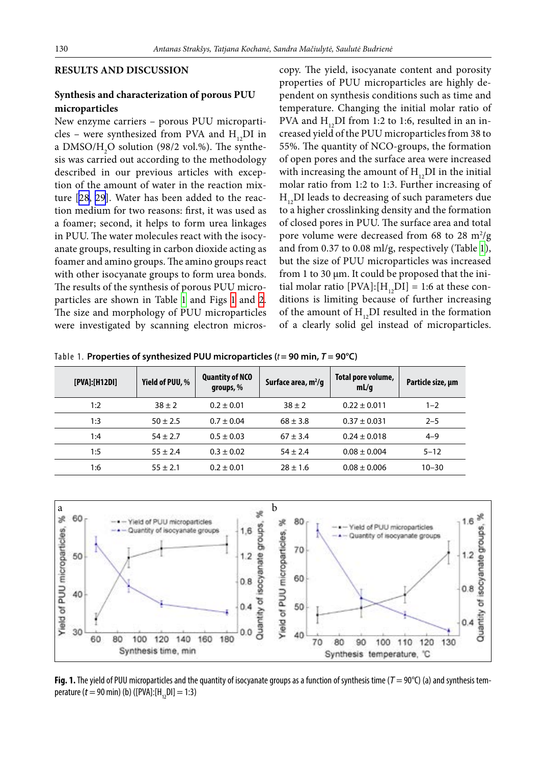## **RESULTS AND DISCUSSION**

## **Synthesis and characterization of porous PUU microparticles**

New enzyme carriers – porous PUU microparticles – were synthesized from PVA and  $H_{12}DI$  in a DMSO/H<sub>2</sub>O solution (98/2 vol.%). The synthesis was carried out according to the methodology described in our previous articles with exception of the amount of water in the reaction mixture [[28](#page-8-19), [29\]](#page-8-16). Water has been added to the reaction medium for two reasons: first, it was used as a foamer; second, it helps to form urea linkages in PUU. The water molecules react with the isocyanate groups, resulting in carbon dioxide acting as foamer and amino groups. The amino groups react with other isocyanate groups to form urea bonds. The results of the synthesis of porous PUU micro-particles are shown in Table [1](#page-3-0) and Figs [1](#page-3-1) and [2](#page-4-0). The size and morphology of PUU microparticles were investigated by scanning electron microscopy. The yield, isocyanate content and porosity properties of PUU microparticles are highly dependent on synthesis conditions such as time and temperature. Changing the initial molar ratio of PVA and  $H_{12}DI$  from 1:2 to 1:6, resulted in an increased yield of the PUU microparticles from 38 to 55%. The quantity of NCO-groups, the formation of open pores and the surface area were increased with increasing the amount of  $H_{12}DI$  in the initial molar ratio from 1:2 to 1:3. Further increasing of  $H_{12}$ DI leads to decreasing of such parameters due to a higher crosslinking density and the formation of closed pores in PUU. The surface area and total pore volume were decreased from 68 to 28  $\mathrm{m}^2/\mathrm{g}$ and from 0.37 to 0.08 ml/g, respectively (Table [1](#page-3-0)), but the size of PUU microparticles was increased from 1 to 30 µm. It could be proposed that the initial molar ratio  $[PVA]: [H_{12}DI] = 1:6$  at these conditions is limiting because of further increasing of the amount of  $H_{12}DI$  resulted in the formation of a clearly solid gel instead of microparticles.

<span id="page-3-0"></span>Table 1. **Properties of synthesized PUU microparticles (***t* **= 90 min,** *T* **= 90°C)**

| [PVA]: [H12DI] | Yield of PUU, % | <b>Quantity of NCO</b><br>groups, % | Surface area, $m^2/g$ | Total pore volume,<br>mL/q | Particle size, µm |
|----------------|-----------------|-------------------------------------|-----------------------|----------------------------|-------------------|
| 1:2            | $38 \pm 2$      | $0.2 \pm 0.01$                      | $38 \pm 2$            | $0.22 \pm 0.011$           | $1 - 2$           |
| 1:3            | $50 \pm 2.5$    | $0.7 \pm 0.04$                      | $68 \pm 3.8$          | $0.37 \pm 0.031$           | $2 - 5$           |
| 1:4            | $54 \pm 2.7$    | $0.5 \pm 0.03$                      | $67 \pm 3.4$          | $0.24 \pm 0.018$           | $4 - 9$           |
| 1:5            | $55 \pm 2.4$    | $0.3 \pm 0.02$                      | $54 \pm 2.4$          | $0.08 \pm 0.004$           | $5 - 12$          |
| 1:6            | $55 \pm 2.1$    | $0.2 \pm 0.01$                      | $28 \pm 1.6$          | $0.08 \pm 0.006$           | $10 - 30$         |
|                |                 |                                     |                       |                            |                   |

<span id="page-3-1"></span>

**Fig. 1.** The yield of PUU microparticles and the quantity of isocyanate groups as a function of synthesis time ( $T = 90^{\circ}$ C) (a) and synthesis temperature (*t* = 90 min) (b) ([PVA]:[H<sub>12</sub>DI] = 1:3)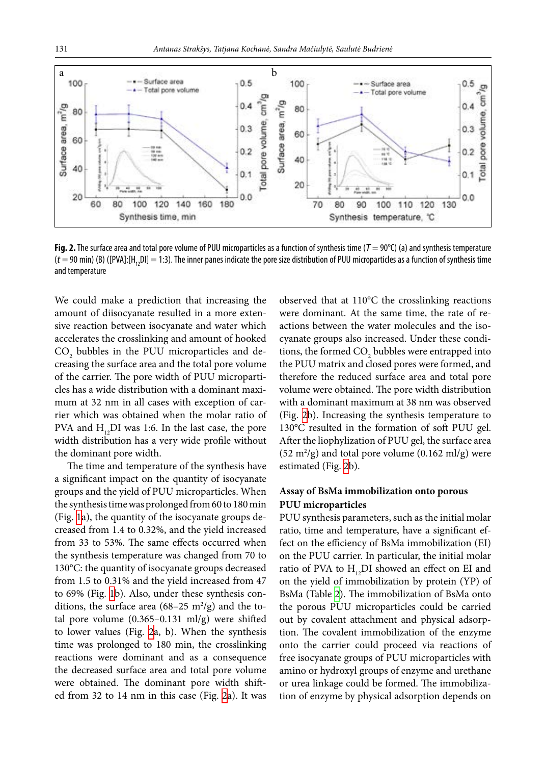<span id="page-4-0"></span>

**Fig. 2.** The surface area and total pore volume of PUU microparticles as a function of synthesis time (*T* = 90°C) (a) and synthesis temperature  $(t = 90 \text{ min})$  (B) ([PVA]:[H<sub>12</sub>DI] = 1:3). The inner panes indicate the pore size distribution of PUU microparticles as a function of synthesis time and temperature

We could make a prediction that increasing the amount of diisocyanate resulted in a more extensive reaction between isocyanate and water which accelerates the crosslinking and amount of hooked  $\mathrm{CO}_2$  bubbles in the PUU microparticles and decreasing the surface area and the total pore volume of the carrier. The pore width of PUU microparticles has a wide distribution with a dominant maximum at 32 nm in all cases with exception of carrier which was obtained when the molar ratio of PVA and  $H_{12}DI$  was 1:6. In the last case, the pore width distribution has a very wide profile without the dominant pore width.

The time and temperature of the synthesis have a significant impact on the quantity of isocyanate groups and the yield of PUU microparticles. When the synthesis time was prolonged from 60 to 180 min (Fig. [1a](#page-3-1)), the quantity of the isocyanate groups decreased from 1.4 to 0.32%, and the yield increased from 33 to 53%. The same effects occurred when the synthesis temperature was changed from 70 to 130°C: the quantity of isocyanate groups decreased from 1.5 to 0.31% and the yield increased from 47 to 69% (Fig. [1](#page-3-1)b). Also, under these synthesis conditions, the surface area  $(68-25 \text{ m}^2/\text{g})$  and the total pore volume (0.365–0.131 ml/g) were shifted to lower values (Fig.  [2](#page-4-0)a, b). When the synthesis time was prolonged to 180 min, the crosslinking reactions were dominant and as a consequence the decreased surface area and total pore volume were obtained. The dominant pore width shifted from 32 to 14 nm in this case (Fig. [2a](#page-4-0)). It was

observed that at 110°C the crosslinking reactions were dominant. At the same time, the rate of reactions between the water molecules and the isocyanate groups also increased. Under these conditions, the formed  $\mathrm{CO}_2$  bubbles were entrapped into the PUU matrix and closed pores were formed, and therefore the reduced surface area and total pore volume were obtained. The pore width distribution with a dominant maximum at 38 nm was observed (Fig.  [2b](#page-4-0)). Increasing the synthesis temperature to 130°C resulted in the formation of soft PUU gel. After the liophylization of PUU gel, the surface area  $(52 \text{ m}^2/\text{g})$  and total pore volume  $(0.162 \text{ m}^2/\text{g})$  were estimated (Fig. [2](#page-4-0)b).

## **Assay of BsMa immobilization onto porous PUU microparticles**

PUU synthesis parameters, such as the initial molar ratio, time and temperature, have a significant effect on the efficiency of BsMa immobilization (EI) on the PUU carrier. In particular, the initial molar ratio of PVA to  $H_{12}DI$  showed an effect on EI and on the yield of immobilization by protein (YP) of BsMa (Table [2](#page-5-0)). The immobilization of BsMa onto the porous PUU microparticles could be carried out by covalent attachment and physical adsorption. The covalent immobilization of the enzyme onto the carrier could proceed via reactions of free isocyanate groups of PUU microparticles with amino or hydroxyl groups of enzyme and urethane or urea linkage could be formed. The immobilization of enzyme by physical adsorption depends on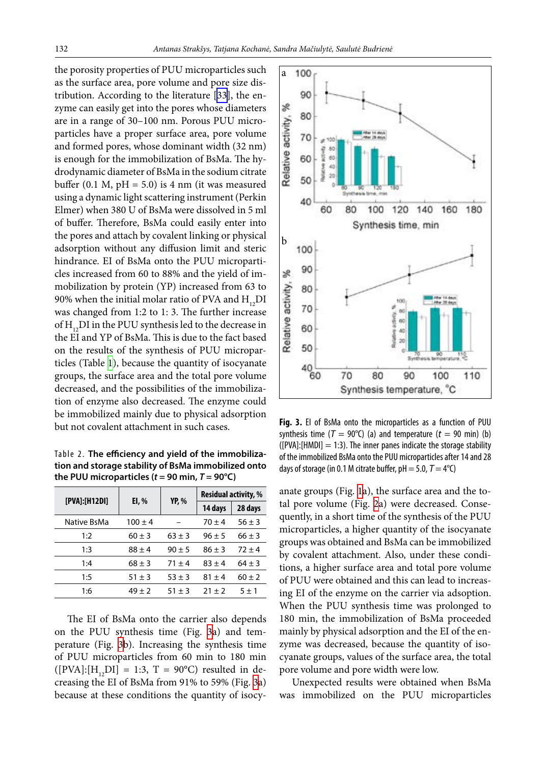the porosity properties of PUU microparticles such as the surface area, pore volume and pore size distribution. According to the literature [[33\]](#page-9-2), the enzyme can easily get into the pores whose diameters are in a range of 30–100 nm. Porous PUU microparticles have a proper surface area, pore volume and formed pores, whose dominant width (32 nm) is enough for the immobilization of BsMa. The hydrodynamic diameter of BsMa in the sodium citrate buffer  $(0.1 \text{ M}, \text{pH} = 5.0)$  is 4 nm (it was measured using a dynamic light scattering instrument (Perkin Elmer) when 380 U of BsMa were dissolved in 5 ml of buffer. Therefore, BsMa could easily enter into the pores and attach by covalent linking or physical adsorption without any diffusion limit and steric hindrance. EI of BsMa onto the PUU microparticles increased from 60 to 88% and the yield of immobilization by protein (YP) increased from 63 to 90% when the initial molar ratio of PVA and  $H_{12}DI$ was changed from 1:2 to 1: 3. The further increase of  $H_{12}$ DI in the PUU synthesis led to the decrease in the EI and YP of BsMa. This is due to the fact based on the results of the synthesis of PUU microparticles (Table [1](#page-3-0)), because the quantity of isocyanate groups, the surface area and the total pore volume decreased, and the possibilities of the immobilization of enzyme also decreased. The enzyme could be immobilized mainly due to physical adsorption but not covalent attachment in such cases.

<span id="page-5-0"></span>Table 2. **The efficiency and yield of the immobilization and storage stability of BsMa immobilized onto**  the PUU microparticles  $(t = 90 \text{ min}, T = 90^{\circ}\text{C})$ 

|                | EI, %       | <b>YP, %</b> | <b>Residual activity, %</b> |            |
|----------------|-------------|--------------|-----------------------------|------------|
| [PVA]: [H12DI] |             |              | 14 days                     | 28 days    |
| Native BsMa    | $100 \pm 4$ |              | $70 + 4$                    | $56 \pm 3$ |
| 1:2            | $60 \pm 3$  | $63 \pm 3$   | $96 \pm 5$                  | $66 \pm 3$ |
| 1:3            | $88 \pm 4$  | $90 \pm 5$   | $86 \pm 3$                  | $72 + 4$   |
| 1:4            | $68 \pm 3$  | $71 \pm 4$   | $83 \pm 4$                  | $64 \pm 3$ |
| 1:5            | $51 \pm 3$  | $53 \pm 3$   | $81 + 4$                    | $60 \pm 2$ |
| 1:6            | $49 \pm 2$  | $51 \pm 3$   | $21 \pm 2$                  | $5 \pm 1$  |

The EI of BsMa onto the carrier also depends on the PUU synthesis time (Fig.  [3](#page-5-1)a) and temperature (Fig.  [3](#page-5-1)b). Increasing the synthesis time of PUU microparticles from 60 min to 180 min  $([PVA]: [H_1, DI] = 1:3, T = 90^{\circ}C)$  resulted in decreasing the EI of BsMa from 91% to 59% (Fig. [3a](#page-5-1)) because at these conditions the quantity of isocy-

<span id="page-5-1"></span>

**Fig. 3.** EI of BsMa onto the microparticles as a function of PUU synthesis time ( $T = 90^{\circ}$ C) (a) and temperature ( $t = 90$  min) (b)  $([PVA]:[HMDI] = 1:3)$ . The inner panes indicate the storage stability of the immobilized BsMa onto the PUU microparticles after 14 and 28 days of storage (in 0.1 M citrate buffer,  $pH = 5.0$ ,  $T = 4^{\circ}C$ )

anate groups (Fig. [1a](#page-3-1)), the surface area and the total pore volume (Fig.  [2](#page-4-0)a) were decreased. Consequently, in a short time of the synthesis of the PUU microparticles, a higher quantity of the isocyanate groups was obtained and BsMa can be immobilized by covalent attachment. Also, under these conditions, a higher surface area and total pore volume of PUU were obtained and this can lead to increasing EI of the enzyme on the carrier via adsoption. When the PUU synthesis time was prolonged to 180 min, the immobilization of BsMa proceeded mainly by physical adsorption and the EI of the enzyme was decreased, because the quantity of isocyanate groups, values of the surface area, the total pore volume and pore width were low.

Unexpected results were obtained when BsMa was immobilized on the PUU microparticles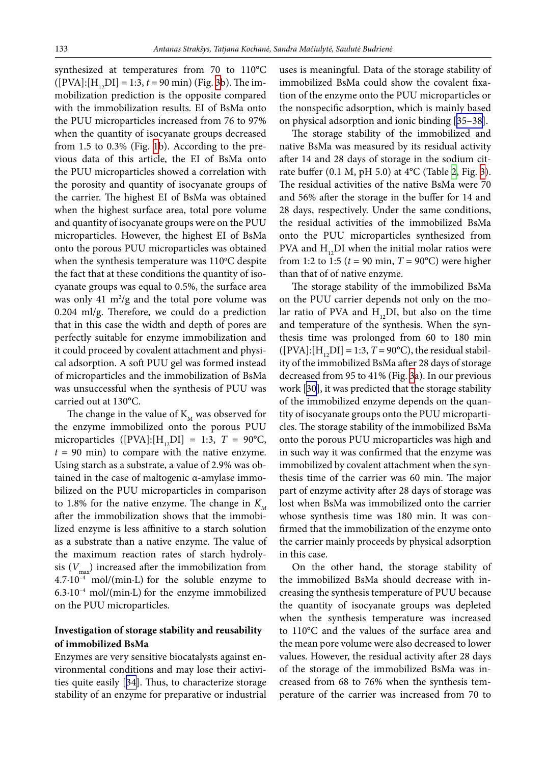synthesized at temperatures from 70 to 110°C  $([PVA]: [H, DI] = 1:3, t = 90 \text{ min})$  (Fig. [3](#page-5-1)b). The immobilization prediction is the opposite compared with the immobilization results. EI of BsMa onto the PUU microparticles increased from 76 to 97% when the quantity of isocyanate groups decreased from 1.5 to 0.3% (Fig. [1](#page-3-1)b). According to the previous data of this article, the EI of BsMa onto the PUU microparticles showed a correlation with the porosity and quantity of isocyanate groups of the carrier. The highest EI of BsMa was obtained when the highest surface area, total pore volume and quantity of isocyanate groups were on the PUU microparticles. However, the highest EI of BsMa onto the porous PUU microparticles was obtained when the synthesis temperature was  $110^{\circ}$ C despite the fact that at these conditions the quantity of isocyanate groups was equal to 0.5%, the surface area was only  $41 \text{ m}^2\text{/g}$  and the total pore volume was 0.204 ml/g. Therefore, we could do a prediction that in this case the width and depth of pores are perfectly suitable for enzyme immobilization and it could proceed by covalent attachment and physical adsorption. A soft PUU gel was formed instead of microparticles and the immobilization of BsMa was unsuccessful when the synthesis of PUU was carried out at 130°C.

The change in the value of  $K_{\scriptscriptstyle M}$  was observed for the enzyme immobilized onto the porous PUU microparticles ([PVA]: $[H_1, DI] = 1:3$ ,  $T = 90^{\circ}C$ , *t* = 90 min) to compare with the native enzyme. Using starch as a substrate, a value of 2.9% was obtained in the case of maltogenic α-amylase immobilized on the PUU microparticles in comparison to 1.8% for the native enzyme. The change in  $K_{\scriptscriptstyle M}$ after the immobilization shows that the immobilized enzyme is less affinitive to a starch solution as a substrate than a native enzyme. The value of the maximum reaction rates of starch hydrolysis  $(V_{\text{max}})$  increased after the immobilization from 4.7·10–4 mol/(min∙L) for the soluble enzyme to 6.3·10–4 mol/(min∙L) for the enzyme immobilized on the PUU microparticles.

# **Investigation of storage stability and reusability of immobilized BsMa**

Enzymes are very sensitive biocatalysts against environmental conditions and may lose their activities quite easily [[34\]](#page-9-3). Thus, to characterize storage stability of an enzyme for preparative or industrial

uses is meaningful. Data of the storage stability of immobilized BsMa could show the covalent fixation of the enzyme onto the PUU microparticles or the nonspecific adsorption, which is mainly based on physical adsorption and ionic binding [\[35–38](#page-9-4)].

The storage stability of the immobilized and native BsMa was measured by its residual activity after 14 and 28 days of storage in the sodium citrate buffer (0.1 M, pH 5.0) at 4°C (Table [2,](#page-5-0) Fig. [3](#page-5-1)). The residual activities of the native BsMa were 70 and 56% after the storage in the buffer for 14 and 28 days, respectively. Under the same conditions, the residual activities of the immobilized BsMa onto the PUU microparticles synthesized from PVA and  $H_{12}$ DI when the initial molar ratios were from 1:2 to 1:5 ( $t = 90$  min,  $T = 90$ °C) were higher than that of of native enzyme.

The storage stability of the immobilized BsMa on the PUU carrier depends not only on the molar ratio of PVA and  $H_{12}DI$ , but also on the time and temperature of the synthesis. When the synthesis time was prolonged from 60 to 180 min  $([PVA]: [H<sub>1</sub>, DI] = 1:3, T = 90°C)$ , the residual stability of the immobilized BsMa after 28 days of storage decreased from 95 to 41% (Fig. [3a](#page-5-1)). In our previous work [[30\]](#page-8-17), it was predicted that the storage stability of the immobilized enzyme depends on the quantity of isocyanate groups onto the PUU microparticles. The storage stability of the immobilized BsMa onto the porous PUU microparticles was high and in such way it was confirmed that the enzyme was immobilized by covalent attachment when the synthesis time of the carrier was 60 min. The major part of enzyme activity after 28 days of storage was lost when BsMa was immobilized onto the carrier whose synthesis time was 180 min. It was confirmed that the immobilization of the enzyme onto the carrier mainly proceeds by physical adsorption in this case.

On the other hand, the storage stability of the immobilized BsMa should decrease with increasing the synthesis temperature of PUU because the quantity of isocyanate groups was depleted when the synthesis temperature was increased to 110°C and the values of the surface area and the mean pore volume were also decreased to lower values. However, the residual activity after 28 days of the storage of the immobilized BsMa was increased from 68 to 76% when the synthesis temperature of the carrier was increased from 70 to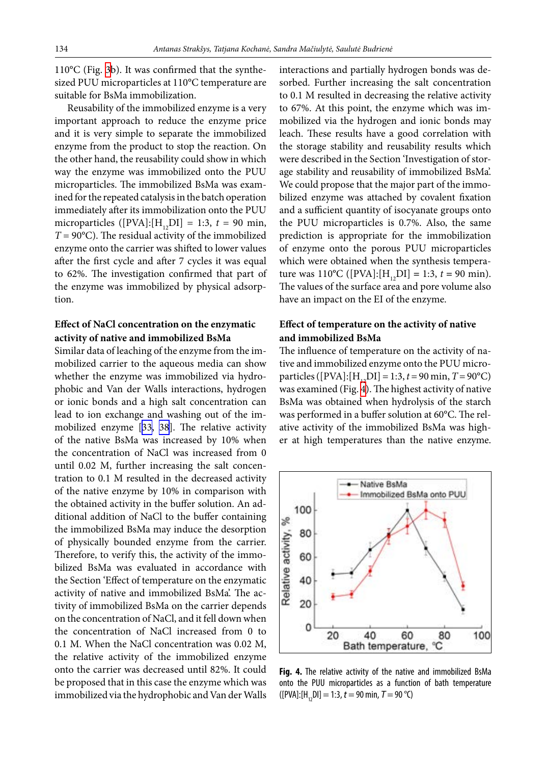110°C (Fig. [3b](#page-5-1)). It was confirmed that the synthesized PUU microparticles at 110°C temperature are suitable for BsMa immobilization.

Reusability of the immobilized enzyme is a very important approach to reduce the enzyme price and it is very simple to separate the immobilized enzyme from the product to stop the reaction. On the other hand, the reusability could show in which way the enzyme was immobilized onto the PUU microparticles. The immobilized BsMa was examined for the repeated catalysis in the batch operation immediately after its immobilization onto the PUU microparticles ( $[PVA]: [H_{12}DI] = 1:3$ ,  $t = 90$  min,  $T = 90^{\circ}$ C). The residual activity of the immobilized enzyme onto the carrier was shifted to lower values after the first cycle and after 7 cycles it was equal to 62%. The investigation confirmed that part of the enzyme was immobilized by physical adsorption.

# **Effect of NaCl concentration on the enzymatic activity of native and immobilized BsMa**

Similar data of leaching of the enzyme from the immobilized carrier to the aqueous media can show whether the enzyme was immobilized via hydrophobic and Van der Walls interactions, hydrogen or ionic bonds and a high salt concentration can lead to ion exchange and washing out of the immobilized enzyme [\[33](#page-9-2), [38](#page-9-5)]. The relative activity of the native BsMa was increased by 10% when the concentration of NaCl was increased from 0 until 0.02 M, further increasing the salt concentration to 0.1 M resulted in the decreased activity of the native enzyme by 10% in comparison with the obtained activity in the buffer solution. An additional addition of NaCl to the buffer containing the immobilized BsMa may induce the desorption of physically bounded enzyme from the carrier. Therefore, to verify this, the activity of the immobilized BsMa was evaluated in accordance with the Section 'Effect of temperature on the enzymatic activity of native and immobilized BsMa'. The activity of immobilized BsMa on the carrier depends on the concentration of NaCl, and it fell down when the concentration of NaCl increased from 0 to 0.1 M. When the NaCl concentration was 0.02 M, the relative activity of the immobilized enzyme onto the carrier was decreased until 82%. It could be proposed that in this case the enzyme which was immobilized via the hydrophobic and Van der Walls interactions and partially hydrogen bonds was desorbed. Further increasing the salt concentration to 0.1 M resulted in decreasing the relative activity to 67%. At this point, the enzyme which was immobilized via the hydrogen and ionic bonds may leach. These results have a good correlation with the storage stability and reusability results which were described in the Section 'Investigation of storage stability and reusability of immobilized BsMa'. We could propose that the major part of the immobilized enzyme was attached by covalent fixation and a sufficient quantity of isocyanate groups onto the PUU microparticles is 0.7%. Also, the same prediction is appropriate for the immobilization of enzyme onto the porous PUU microparticles which were obtained when the synthesis temperature was  $110^{\circ}C$  ([PVA]:[H<sub>12</sub>DI] = 1:3, *t* = 90 min). The values of the surface area and pore volume also have an impact on the EI of the enzyme.

# **Effect of temperature on the activity of native and immobilized BsMa**

The influence of temperature on the activity of native and immobilized enzyme onto the PUU microparticles ( $[PVA]: [H_{12}DI] = 1:3, t = 90$  min,  $T = 90$ <sup>o</sup>C) was examined (Fig. [4](#page-7-0)). The highest activity of native BsMa was obtained when hydrolysis of the starch was performed in a buffer solution at 60°C. The relative activity of the immobilized BsMa was higher at high temperatures than the native enzyme.

<span id="page-7-0"></span>

**Fig. 4.** The relative activity of the native and immobilized BsMa onto the PUU microparticles as a function of bath temperature  $([PVA]: [H, DI] = 1:3, t = 90 \text{ min}, T = 90 \text{ °C})$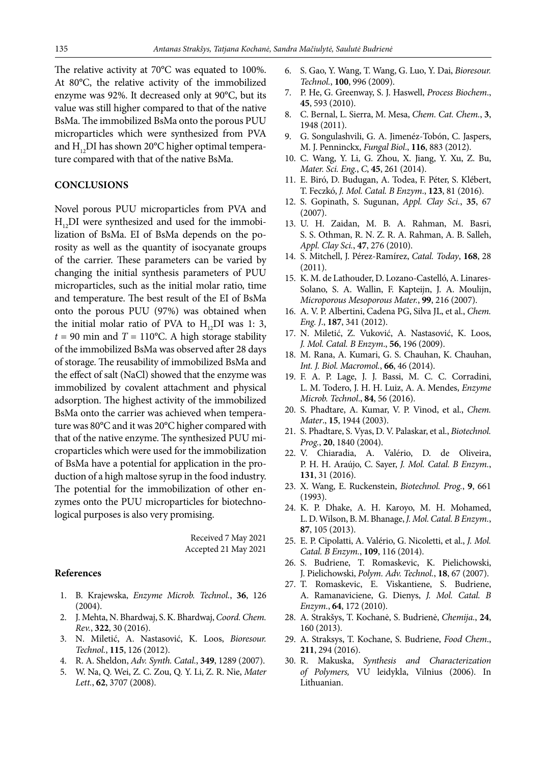The relative activity at 70°C was equated to 100%. At 80°C, the relative activity of the immobilized enzyme was 92%. It decreased only at 90°C, but its value was still higher compared to that of the native BsMa. The immobilized BsMa onto the porous PUU microparticles which were synthesized from PVA and  $H_{12}$ DI has shown 20°C higher optimal temperature compared with that of the native BsMa.

#### **CONCLUSIONS**

Novel porous PUU microparticles from PVA and  $H_{12}$ DI were synthesized and used for the immobilization of BsMa. EI of BsMa depends on the porosity as well as the quantity of isocyanate groups of the carrier. These parameters can be varied by changing the initial synthesis parameters of PUU microparticles, such as the initial molar ratio, time and temperature. The best result of the EI of BsMa onto the porous PUU (97%) was obtained when the initial molar ratio of PVA to  $H_{12}DI$  was 1: 3,  $t = 90$  min and  $T = 110$ °C. A high storage stability of the immobilized BsMa was observed after 28 days of storage. The reusability of immobilized BsMa and the effect of salt (NaCl) showed that the enzyme was immobilized by covalent attachment and physical adsorption. The highest activity of the immobilized BsMa onto the carrier was achieved when temperature was 80°C and it was 20°C higher compared with that of the native enzyme. The synthesized PUU microparticles which were used for the immobilization of BsMa have a potential for application in the production of a high maltose syrup in the food industry. The potential for the immobilization of other enzymes onto the PUU microparticles for biotechnological purposes is also very promising.

> Received 7 May 2021 Accepted 21 May 2021

#### <span id="page-8-0"></span>**References**

- 1. B. Krajewska, *Enzyme Microb. Technol.*, **36**, 126 (2004).
- 2. J. Mehta, N. Bhardwaj, S. K. Bhardwaj, *Coord. Chem. Rev.*, **322**, 30 (2016).
- 3. N. Miletić, A. Nastasović, K. Loos, *Bioresour. Technol.*, **115**, 126 (2012).
- <span id="page-8-1"></span>4. R. A. Sheldon, *Adv. Synth. Catal.*, **349**, 1289 (2007).
- 5. W. Na, Q. Wei, Z. C. Zou, Q. Y. Li, Z. R. Nie, *Mater Lett.*, **62**, 3707 (2008).
- 6. S. Gao, Y. Wang, T. Wang, G. Luo, Y. Dai, *Bioresour. Technol.*, **100**, 996 (2009).
- 7. P. He, G. Greenway, S. J. Haswell, *Process Biochem*., **45**, 593 (2010).
- 8. C. Bernal, L. Sierra, M. Mesa, *Chem. Cat. Chem.*, **3**, 1948 (2011).
- 9. G. Songulashvili, G. A. Jimenéz-Tobón, C. Jaspers, M. J. Penninckx, *Fungal Biol*., **116**, 883 (2012).
- 10. C. Wang, Y. Li, G. Zhou, X. Jiang, Y. Xu, Z. Bu, *Mater. Sci. Eng.*, *C*, **45**, 261 (2014).
- <span id="page-8-2"></span>11. E. Biró, D. Budugan, A. Todea, F. Péter, S. Klébert, T. Feczkó, *J. Mol. Catal. B Enzym*., **123**, 81 (2016).
- <span id="page-8-3"></span>12. S. Gopinath, S. Sugunan, *Appl. Clay Sci.*, **35**, 67 (2007).
- 13. U. H. Zaidan, M. B. A. Rahman, M. Basri, S. S. Othman, R. N. Z. R. A. Rahman, A. B. Salleh, *Appl. Clay Sci.*, **47**, 276 (2010).
- <span id="page-8-5"></span><span id="page-8-4"></span>14. S. Mitchell, J. Pérez-Ramírez, *Catal. Today*, **168**, 28 (2011).
- 15. K. M. de Lathouder, D. Lozano-Castelló, A. Linares-Solano, S. A. Wallin, F. Kapteijn, J. A. Moulijn, *Microporous Mesoporous Mater.*, **99**, 216 (2007).
- <span id="page-8-7"></span><span id="page-8-6"></span>16. A. V. P. Albertini, Cadena PG, Silva JL, et al., *Chem. Eng. J*., **187**, 341 (2012).
- <span id="page-8-8"></span>17. N. Miletić, Z. Vuković, A. Nastasović, K. Loos, *J. Mol. Catal. B Enzym*., **56**, 196 (2009).
- 18. M. Rana, A. Kumari, G. S. Chauhan, K. Chauhan, *Int. J. Biol. Macromol.*, **66**, 46 (2014).
- <span id="page-8-10"></span><span id="page-8-9"></span>19. F. A. P. Lage, J. J. Bassi, M. C. C. Corradini, L. M. Todero, J. H. H. Luiz, A. A. Mendes, *Enzyme Microb. Technol*., **84**, 56 (2016).
- 20. S. Phadtare, A. Kumar, V. P. Vinod, et al., *Chem. Mater*., **15**, 1944 (2003).
- 21. S. Phadtare, S. Vyas, D. V. Palaskar, et al., *Biotechnol. Prog.*, **20**, 1840 (2004).
- <span id="page-8-11"></span>22. V. Chiaradia, A. Valério, D. de Oliveira, P. H. H. Araújo, C. Sayer, *J. Mol. Catal. B Enzym.*, **131**, 31 (2016).
- <span id="page-8-12"></span>23. X. Wang, E. Ruckenstein, *Biotechnol. Prog.*, **9**, 661 (1993).
- <span id="page-8-13"></span>24. K. P. Dhake, A. H. Karoyo, M. H. Mohamed, L. D. Wilson, B. M. Bhanage, *J. Mol. Catal. B Enzym.*, **87**, 105 (2013).
- <span id="page-8-15"></span><span id="page-8-14"></span>25. E. P. Cipolatti, A. Valério, G. Nicoletti, et al., *J. Mol. Catal. B Enzym.*, **109**, 116 (2014).
- <span id="page-8-18"></span>26. S. Budriene, T. Romaskevic, K. Pielichowski, J. Pielichowski, *Polym. Adv. Technol.*, **18**, 67 (2007).
- 27. T. Romaskevic, E. Viskantiene, S. Budriene, A. Ramanaviciene, G. Dienys, *J. Mol. Catal. B Enzym.*, **64**, 172 (2010).
- <span id="page-8-19"></span><span id="page-8-16"></span>28. A. Strakšys, T. Kochanė, S. Budrienė, *Chemija.*, **24**, 160 (2013).
- <span id="page-8-17"></span>29. A. Straksys, T. Kochane, S. Budriene, *Food Chem*., **211**, 294 (2016).
- 30. R. Makuska, *Synthesis and Characterization of Polymers,* VU leidykla, Vilnius (2006). In Lithuanian.